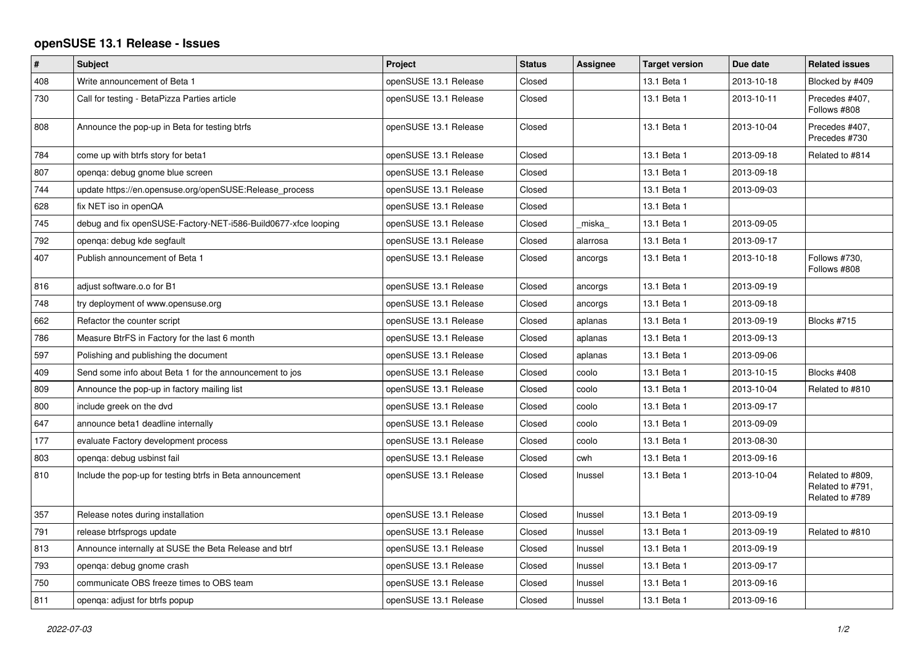## **openSUSE 13.1 Release - Issues**

| $\sharp$ | <b>Subject</b>                                                 | Project               | <b>Status</b> | <b>Assignee</b> | <b>Target version</b> | Due date   | <b>Related issues</b>                                   |
|----------|----------------------------------------------------------------|-----------------------|---------------|-----------------|-----------------------|------------|---------------------------------------------------------|
| 408      | Write announcement of Beta 1                                   | openSUSE 13.1 Release | Closed        |                 | 13.1 Beta 1           | 2013-10-18 | Blocked by #409                                         |
| 730      | Call for testing - BetaPizza Parties article                   | openSUSE 13.1 Release | Closed        |                 | 13.1 Beta 1           | 2013-10-11 | Precedes #407,<br>Follows #808                          |
| 808      | Announce the pop-up in Beta for testing btrfs                  | openSUSE 13.1 Release | Closed        |                 | 13.1 Beta 1           | 2013-10-04 | Precedes #407,<br>Precedes #730                         |
| 784      | come up with btrfs story for beta1                             | openSUSE 13.1 Release | Closed        |                 | 13.1 Beta 1           | 2013-09-18 | Related to #814                                         |
| 807      | openqa: debug gnome blue screen                                | openSUSE 13.1 Release | Closed        |                 | 13.1 Beta 1           | 2013-09-18 |                                                         |
| 744      | update https://en.opensuse.org/openSUSE:Release process        | openSUSE 13.1 Release | Closed        |                 | 13.1 Beta 1           | 2013-09-03 |                                                         |
| 628      | fix NET iso in openQA                                          | openSUSE 13.1 Release | Closed        |                 | 13.1 Beta 1           |            |                                                         |
| 745      | debug and fix openSUSE-Factory-NET-i586-Build0677-xfce looping | openSUSE 13.1 Release | Closed        | _miska_         | 13.1 Beta 1           | 2013-09-05 |                                                         |
| 792      | openga: debug kde segfault                                     | openSUSE 13.1 Release | Closed        | alarrosa        | 13.1 Beta 1           | 2013-09-17 |                                                         |
| 407      | Publish announcement of Beta 1                                 | openSUSE 13.1 Release | Closed        | ancorgs         | 13.1 Beta 1           | 2013-10-18 | Follows #730.<br>Follows #808                           |
| 816      | adjust software.o.o for B1                                     | openSUSE 13.1 Release | Closed        | ancorgs         | 13.1 Beta 1           | 2013-09-19 |                                                         |
| 748      | try deployment of www.opensuse.org                             | openSUSE 13.1 Release | Closed        | ancorgs         | 13.1 Beta 1           | 2013-09-18 |                                                         |
| 662      | Refactor the counter script                                    | openSUSE 13.1 Release | Closed        | aplanas         | 13.1 Beta 1           | 2013-09-19 | Blocks #715                                             |
| 786      | Measure BtrFS in Factory for the last 6 month                  | openSUSE 13.1 Release | Closed        | aplanas         | 13.1 Beta 1           | 2013-09-13 |                                                         |
| 597      | Polishing and publishing the document                          | openSUSE 13.1 Release | Closed        | aplanas         | 13.1 Beta 1           | 2013-09-06 |                                                         |
| 409      | Send some info about Beta 1 for the announcement to jos        | openSUSE 13.1 Release | Closed        | coolo           | 13.1 Beta 1           | 2013-10-15 | Blocks #408                                             |
| 809      | Announce the pop-up in factory mailing list                    | openSUSE 13.1 Release | Closed        | coolo           | 13.1 Beta 1           | 2013-10-04 | Related to #810                                         |
| 800      | include greek on the dvd                                       | openSUSE 13.1 Release | Closed        | coolo           | 13.1 Beta 1           | 2013-09-17 |                                                         |
| 647      | announce beta1 deadline internally                             | openSUSE 13.1 Release | Closed        | coolo           | 13.1 Beta 1           | 2013-09-09 |                                                         |
| 177      | evaluate Factory development process                           | openSUSE 13.1 Release | Closed        | coolo           | 13.1 Beta 1           | 2013-08-30 |                                                         |
| 803      | openga: debug usbinst fail                                     | openSUSE 13.1 Release | Closed        | cwh             | 13.1 Beta 1           | 2013-09-16 |                                                         |
| 810      | Include the pop-up for testing btrfs in Beta announcement      | openSUSE 13.1 Release | Closed        | Inussel         | 13.1 Beta 1           | 2013-10-04 | Related to #809,<br>Related to #791,<br>Related to #789 |
| 357      | Release notes during installation                              | openSUSE 13.1 Release | Closed        | Inussel         | 13.1 Beta 1           | 2013-09-19 |                                                         |
| 791      | release btrfsprogs update                                      | openSUSE 13.1 Release | Closed        | Inussel         | 13.1 Beta 1           | 2013-09-19 | Related to #810                                         |
| 813      | Announce internally at SUSE the Beta Release and btrf          | openSUSE 13.1 Release | Closed        | Inussel         | 13.1 Beta 1           | 2013-09-19 |                                                         |
| 793      | openga: debug gnome crash                                      | openSUSE 13.1 Release | Closed        | Inussel         | 13.1 Beta 1           | 2013-09-17 |                                                         |
| 750      | communicate OBS freeze times to OBS team                       | openSUSE 13.1 Release | Closed        | Inussel         | 13.1 Beta 1           | 2013-09-16 |                                                         |
| 811      | openga: adjust for btrfs popup                                 | openSUSE 13.1 Release | Closed        | Inussel         | 13.1 Beta 1           | 2013-09-16 |                                                         |